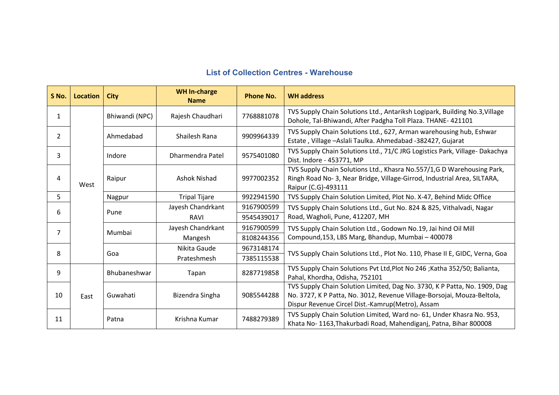| S No.          | Location | <b>City</b>    | <b>WH In-charge</b><br><b>Name</b> | <b>Phone No.</b> | <b>WH address</b>                                                                                                                                                                                        |
|----------------|----------|----------------|------------------------------------|------------------|----------------------------------------------------------------------------------------------------------------------------------------------------------------------------------------------------------|
| 1              | West     | Bhiwandi (NPC) | Rajesh Chaudhari                   | 7768881078       | TVS Supply Chain Solutions Ltd., Antariksh Logipark, Building No.3, Village<br>Dohole, Tal-Bhiwandi, After Padgha Toll Plaza. THANE- 421101                                                              |
| $\overline{2}$ |          | Ahmedabad      | Shailesh Rana                      | 9909964339       | TVS Supply Chain Solutions Ltd., 627, Arman warehousing hub, Eshwar<br>Estate, Village - Aslali Taulka. Ahmedabad - 382427, Gujarat                                                                      |
| 3              |          | Indore         | Dharmendra Patel                   | 9575401080       | TVS Supply Chain Solutions Ltd., 71/C JRG Logistics Park, Village-Dakachya<br>Dist. Indore - 453771, MP                                                                                                  |
| 4              |          | Raipur         | Ashok Nishad                       | 9977002352       | TVS Supply Chain Solutions Ltd., Khasra No.557/1,G D Warehousing Park,<br>Ringh Road No-3, Near Bridge, Village-Girrod, Industrial Area, SILTARA,<br>Raipur (C.G)-493111                                 |
| 5              |          | Nagpur         | <b>Tripal Tijare</b>               | 9922941590       | TVS Supply Chain Solution Limited, Plot No. X-47, Behind Midc Office                                                                                                                                     |
| 6              |          | Pune           | Jayesh Chandrkant                  | 9167900599       | TVS Supply Chain Solutions Ltd., Gut No. 824 & 825, Vithalvadi, Nagar                                                                                                                                    |
|                |          |                | RAVI                               | 9545439017       | Road, Wagholi, Pune, 412207, MH                                                                                                                                                                          |
| 7              |          | Mumbai         | Jayesh Chandrkant                  | 9167900599       | TVS Supply Chain Solution Ltd., Godown No.19, Jai hind Oil Mill                                                                                                                                          |
|                |          |                | Mangesh                            | 8108244356       | Compound, 153, LBS Marg, Bhandup, Mumbai - 400078                                                                                                                                                        |
| 8              |          | Goa            | Nikita Gaude                       | 9673148174       | TVS Supply Chain Solutions Ltd., Plot No. 110, Phase II E, GIDC, Verna, Goa                                                                                                                              |
|                |          |                | Prateshmesh                        | 7385115538       |                                                                                                                                                                                                          |
| 9              |          | Bhubaneshwar   | Tapan                              | 8287719858       | TVS Supply Chain Solutions Pvt Ltd, Plot No 246; Katha 352/50; Balianta,<br>Pahal, Khordha, Odisha, 752101                                                                                               |
| 10             | East     | Guwahati       | Bizendra Singha                    | 9085544288       | TVS Supply Chain Solution Limited, Dag No. 3730, K P Patta, No. 1909, Dag<br>No. 3727, K P Patta, No. 3012, Revenue Village-Borsojai, Mouza-Beltola,<br>Dispur Revenue Circel Dist.-Kamrup(Metro), Assam |
| 11             |          | Patna          | Krishna Kumar                      | 7488279389       | TVS Supply Chain Solution Limited, Ward no- 61, Under Khasra No. 953,<br>Khata No-1163, Thakurbadi Road, Mahendiganj, Patna, Bihar 800008                                                                |

## **List of Collection Centres - Warehouse**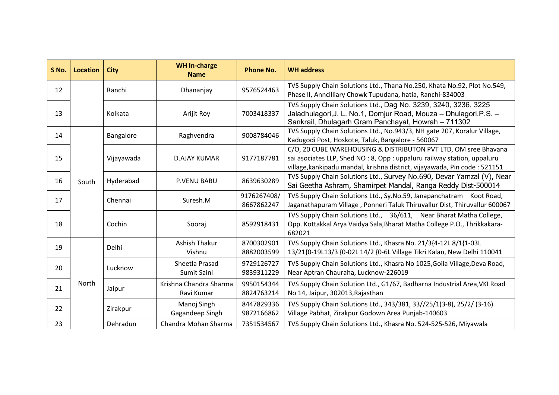| S No. | Location | <b>City</b> | <b>WH In-charge</b><br><b>Name</b>   | <b>Phone No.</b>          | <b>WH address</b>                                                                                                                                                                                                      |
|-------|----------|-------------|--------------------------------------|---------------------------|------------------------------------------------------------------------------------------------------------------------------------------------------------------------------------------------------------------------|
| 12    |          | Ranchi      | Dhananjay                            | 9576524463                | TVS Supply Chain Solutions Ltd., Thana No.250, Khata No.92, Plot No.549,<br>Phase II, Anncilliary Chowk Tupudana, hatia, Ranchi-834003                                                                                 |
| 13    |          | Kolkata     | Arijit Roy                           | 7003418337                | TVS Supply Chain Solutions Ltd., Dag No. 3239, 3240, 3236, 3225<br>Jaladhulagori, J. L. No.1, Domjur Road, Mouza - Dhulagori, P.S. -<br>Sankrail, Dhulagarh Gram Panchayat, Howrah - 711302                            |
| 14    |          | Bangalore   | Raghvendra                           | 9008784046                | TVS Supply Chain Solutions Ltd., No.943/3, NH gate 207, Koralur Village,<br>Kadugodi Post, Hoskote, Taluk, Bangalore - 560067                                                                                          |
| 15    |          | Vijayawada  | <b>D.AJAY KUMAR</b>                  | 9177187781                | C/O, 20 CUBE WAREHOUSING & DISTRIBUTON PVT LTD, OM sree Bhavana<br>sai asociates LLP, Shed NO: 8, Opp: uppaluru railway station, uppaluru<br>village, kankipadu mandal, krishna district, vijayawada, Pin code: 521151 |
| 16    | South    | Hyderabad   | P.VENU BABU                          | 8639630289                | TVS Supply Chain Solutions Ltd., Survey No.690, Devar Yamzal (V), Near<br>Sai Geetha Ashram, Shamirpet Mandal, Ranga Reddy Dist-500014                                                                                 |
| 17    |          | Chennai     | Suresh.M                             | 9176267408/<br>8667862247 | TVS Supply Chain Solutions Ltd., Sy.No.59, Janapanchatram Koot Road,<br>Jaganathapuram Village, Ponneri Taluk Thiruvallur Dist, Thiruvallur 600067                                                                     |
| 18    |          | Cochin      | Sooraj                               | 8592918431                | TVS Supply Chain Solutions Ltd., 36/611, Near Bharat Matha College,<br>Opp. Kottakkal Arya Vaidya Sala, Bharat Matha College P.O., Thrikkakara-<br>682021                                                              |
| 19    | North    | Delhi       | Ashish Thakur<br>Vishnu              | 8700302901<br>8882003599  | TVS Supply Chain Solutions Ltd., Khasra No. 21/3{4-12L 8/1{1-03L<br>13/21{0-19L13/3 {0-02L 14/2 {0-6L Village Tikri Kalan, New Delhi 110041                                                                            |
| 20    |          | Lucknow     | Sheetla Prasad<br>Sumit Saini        | 9729126727<br>9839311229  | TVS Supply Chain Solutions Ltd., Khasra No 1025, Goila Village, Deva Road,<br>Near Aptran Chauraha, Lucknow-226019                                                                                                     |
| 21    |          | Jaipur      | Krishna Chandra Sharma<br>Ravi Kumar | 9950154344<br>8824763214  | TVS Supply Chain Solution Ltd., G1/67, Badharna Industrial Area, VKI Road<br>No 14, Jaipur, 302013, Rajasthan                                                                                                          |
| 22    |          | Zirakpur    | Manoj Singh<br>Gagandeep Singh       | 8447829336<br>9872166862  | TVS Supply Chain Solutions Ltd., 343/381, 33//25/1(3-8), 25/2/ (3-16)<br>Village Pabhat, Zirakpur Godown Area Punjab-140603                                                                                            |
| 23    |          | Dehradun    | Chandra Mohan Sharma                 | 7351534567                | TVS Supply Chain Solutions Ltd., Khasra No. 524-525-526, Miyawala                                                                                                                                                      |